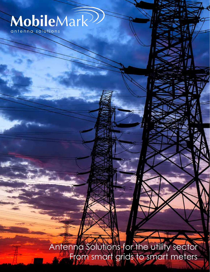# MobileMark<sup>222</sup>

Antenna Solutions for the utility sector From smart grids to smart meters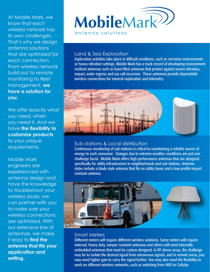At Mobile Mark, we know that each wireless network has its own challenges. That's why we design antenna solutions that are optimized for each connection. From wireless network build-out to remote monitoring to fleet management, **we have a solution for you.**

We offer exactly what you need, when you need it. And we have **the flexibility to customize products** to your unique requirements.

Mobile Mark engineers are experienced with antenna design and have the knowledge to troubleshoot your wireless issues; we can partner with you to make sure your wireless connections are optimized. With our extensive line of antennas, we make it easy to **find the antenna that fits your application and setting.**



#### Land & Sea Exploration

Exploration activities take place in difficult conditions, such as corrosive environments or heavy vibration settings. Mobile Mark has a track record of developing environmentresilient antennas such as foam-filed antennas that protect against severe vibration, impact, water ingress and sea salt incursion. These antennas provide dependable wireless connections for mineral exploration and telemetry.



## Sub-stations & Local distribution

Continuous monitoring of sub-stations is critical to maintaining a reliable source of energy to each consumer. Outages due to extreme weather conditions are just one challenge faced. Mobile Mark offers high performance antennas that are designed specifically for utility infrastructure in neighborhoods and sub-stations. Antenna styles include a blade style antenna that fits on utility boxes and a low profile impact resistant antenna.



## Smart Meters

Different meters will require different wireless solutions. Some meters will require external, heavy duty, tamper resistant antennas and others will need internally embedded antennas that must be custom designed. In RF dense areas, the challenge may be to isolate the desired signal from extraneous signals, and in remote areas, you may need higher gain to carry the signal further. You may also need the flexibility to work on different wireless networks, such as switching from WiFi to Cellular.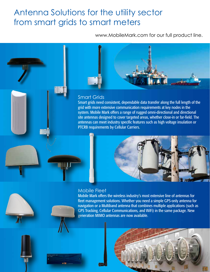# Antenna Solutions for the utility sector from smart grids to smart meters

www.MobileMark.com for our full product line.



#### Smart Grids

Smart grids need consistent, dependable data transfer along the full length of the grid with more extensive communication requirements at key nodes in the system. Mobile Mark offers a range of rugged omni-directional and directional site antennas designed to cover targeted areas, whether close-in or far-field. The antennas can meet industry specific features such as high voltage insulation or PTCRB requirements by Cellular Carriers.



#### Mobile Fleet

Mobile Mark offers the wireless industry's most extensive line of antennas for fleet management solutions. Whether you need a simple GPS-only antenna for navigation or a Multiband antenna that combines multiple applications (such as GPS Tracking, Cellular Communications, and WiFi) in the same package. New generation MIMO antennas are now available.